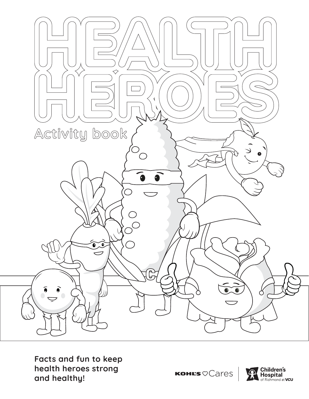

**Facts and fun to keep health heroes strong and healthy!**

KOHL'S OCares

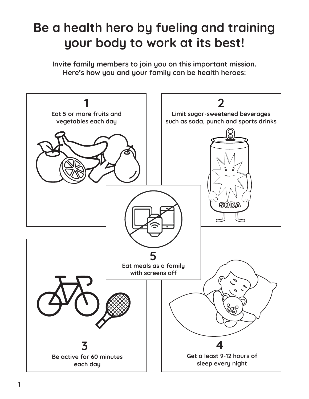### **Be a health hero by fueling and training your body to work at its best!**

**Invite family members to join you on this important mission. Here's how you and your family can be health heroes:**

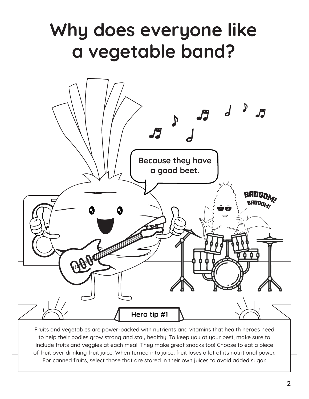

Fruits and vegetables are power-packed with nutrients and vitamins that health heroes need to help their bodies grow strong and stay healthy. To keep you at your best, make sure to include fruits and veggies at each meal. They make great snacks too! Choose to eat a piece of fruit over drinking fruit juice. When turned into juice, fruit loses a lot of its nutritional power. For canned fruits, select those that are stored in their own juices to avoid added sugar.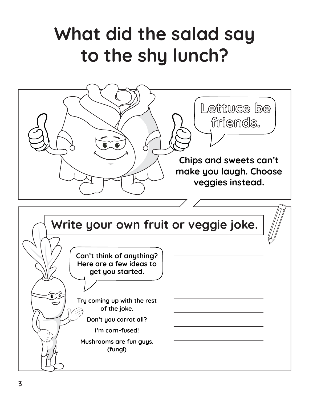## **What did the salad say to the shy lunch?**



**Can't think of anything? Here are a few ideas to get you started.** 

**Try coming up with the rest of the joke.**

**Don't you carrot all?**

**I'm corn-fused!**

**Mushrooms are fun guys. (fungi)**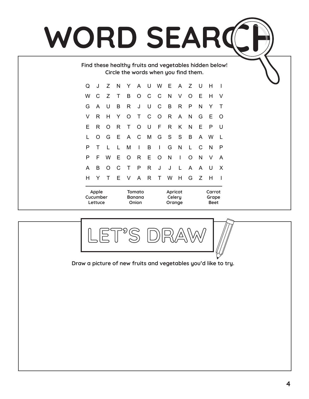# WORD SEARD

**Find these healthy fruits and vegetables hidden below! Circle the words when you find them.**

| Q                            | J | Ζ        | N | Y                                | A       | <b>U</b>     | <b>W</b>     | E                           | A  | Z | U | н                              |   |  |
|------------------------------|---|----------|---|----------------------------------|---------|--------------|--------------|-----------------------------|----|---|---|--------------------------------|---|--|
| W                            | C | Ζ        | Τ | B                                | $\circ$ | $\mathsf{C}$ | C            | N                           | V  | O | Ε | H                              | V |  |
| G                            | A | U        | B | R                                | J       | U            | C            | B                           | R  | P | N | Υ                              | Т |  |
| V                            | R | н        | Y | $\circ$                          | Τ       | C            | $\circ$      | R                           | A  | N | G | Ε                              | O |  |
| Е                            | R | $\Omega$ | R | T                                | O       | U            | F            | R                           | K  | N | E | P                              | U |  |
| L                            | O | G        | Е | A                                | C       | M            | G            | S                           | S  | B | A | W                              |   |  |
| P                            | T | L        | L | M                                | I       | B            | $\mathbf{I}$ | G                           | N  | L | C | N                              | P |  |
| Р                            | F | W        | Е | $\circ$                          | R       | E            | O            | N                           | I  | O | N | V                              | A |  |
| A                            | B | O        | C | Τ                                | P       | R            | J            | J                           | L. | A | A | U                              | X |  |
| н                            | Y | Т        | Е | V                                | A       | R            | T            | W                           | Η  | G | Z | н                              | I |  |
| Apple<br>Cucumber<br>Lettuce |   |          |   | Tomato<br><b>Banana</b><br>Onion |         |              |              | Apricot<br>Celery<br>Orange |    |   |   | Carrot<br>Grape<br><b>Beet</b> |   |  |

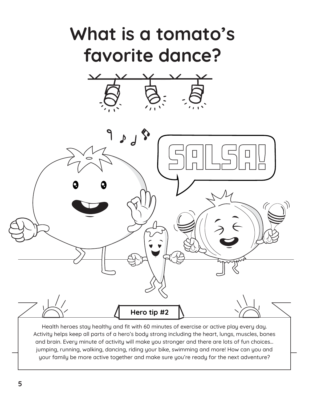

Health heroes stay healthy and fit with 60 minutes of exercise or active play every day. Activity helps keep all parts of a hero's body strong including the heart, lungs, muscles, bones and brain. Every minute of activity will make you stronger and there are lots of fun choices… jumping, running, walking, dancing, riding your bike, swimming and more! How can you and your family be more active together and make sure you're ready for the next adventure?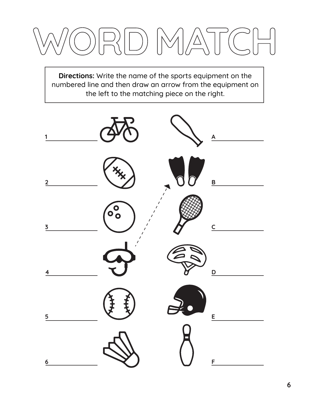**Directions:** Write the name of the sports equipment on the numbered line and then draw an arrow from the equipment on the left to the matching piece on the right.

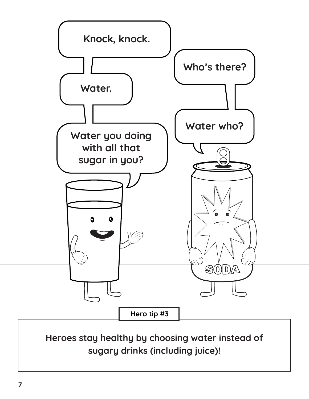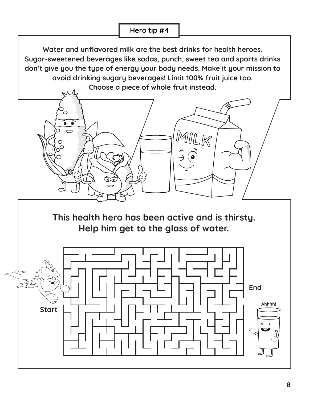**Water and unflavored milk are the best drinks for health heroes. Sugar-sweetened beverages like sodas, punch, sweet tea and sports drinks don't give you the type of energy your body needs. Make it your mission to avoid drinking sugary beverages! Limit 100% fruit juice too.** 

**Choose a piece of whole fruit instead.** 



**This health hero has been active and is thirsty. Help him get to the glass of water.**

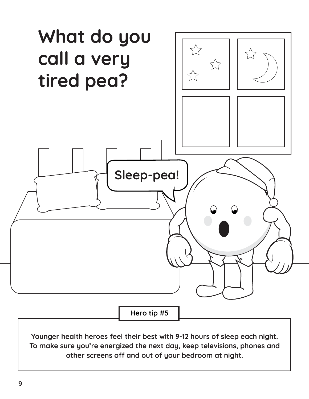

**Younger health heroes feel their best with 9-12 hours of sleep each night. To make sure you're energized the next day, keep televisions, phones and other screens off and out of your bedroom at night.**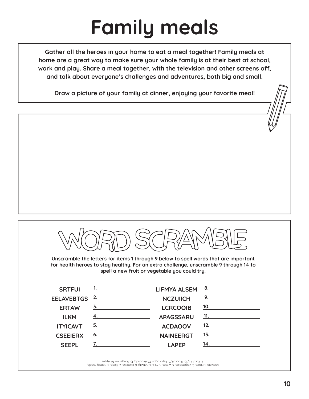# **Family meals**

**Gather all the heroes in your home to eat a meal together! Family meals at home are a great way to make sure your whole family is at their best at school, work and play. Share a meal together, with the television and other screens off, and talk about everyone's challenges and adventures, both big and small.** 

**Draw a picture of your family at dinner, enjoying your favorite meal!**



**Unscramble the letters for items 1 through 9 below to spell words that are important for health heroes to stay healthy. For an extra challenge, unscramble 9 through 14 to spell a new fruit or vegetable you could try.**

| <b>SRTFUI</b>   | 1. LIFMYA ALSEM 8.                 |                  |                          |
|-----------------|------------------------------------|------------------|--------------------------|
|                 |                                    | <b>NCZUIICH</b>  | $\overline{9.}$          |
| <b>ERTAW</b>    | $\overline{3}$ .                   | <b>LCRCOOIB</b>  | 10.                      |
| <b>ILKM</b>     | <u>4. ________________________</u> | <b>APAGSSARU</b> | <u>11. _____________</u> |
| <b>ITYICAVT</b> |                                    | <b>ACDAOOV</b>   | $\overline{12}$ .        |
| <b>CSEEIERX</b> |                                    | <b>NAINEERGT</b> | <u>13.</u>               |
| <b>SFFPI</b>    |                                    | I APFP           | 14.                      |

Answers: 1. Fruits, 2. Vegetables, 3. Water, 4. Milk, 5. Activity, 6. Exercise, 7. Sleep, 8. Family meals, 9. Zucchini, 10. Broccoli, 11. Asparagus, 12. Avocado, 13. Tangerine, 14. Apple